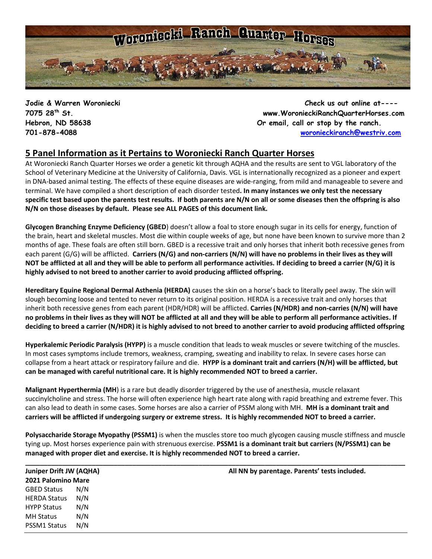

**Jodie & Warren Woroniecki Check us out online at---- 7075 28th St. www.WoronieckiRanchQuarterHorses.com Hebron, ND 58638 Or email, call or stop by the ranch. 701-878-4088 [woronieckiranch@westriv.com](mailto:woronieckiranch@westriv.com)**

## **5 Panel Information as it Pertains to Woroniecki Ranch Quarter Horses**

At Woroniecki Ranch Quarter Horses we order a genetic kit through AQHA and the results are sent to VGL laboratory of the School of Veterinary Medicine at the University of California, Davis. VGL is internationally recognized as a pioneer and expert in DNA-based animal testing. The [effects of these equine diseases](http://americashorsedaily.com/genetic-test-round-up) are wide-ranging, from mild and manageable to severe and terminal. We have compiled a short description of each disorder tested**. In many instances we only test the necessary specific test based upon the parents test results. If both parents are N/N on all or some diseases then the offspring is also N/N on those diseases by default. Please see ALL PAGES of this document link.**

**Glycogen Branching Enzyme Deficiency (GBED**) doesn't allow a foal to store enough sugar in its cells for energy, function of the brain, heart and skeletal muscles. Most die within couple weeks of age, but none have been known to survive more than 2 months of age. These foals are often still born. GBED is a recessive trait and only horses that inherit both recessive genes from each parent (G/G) will be afflicted. **Carriers (N/G) and non-carriers (N/N) will have no problems in their lives as they will NOT be afflicted at all and they will be able to perform all performance activities. If deciding to breed a carrier (N/G) it is highly advised to not breed to another carrier to avoid producing afflicted offspring.**

**Hereditary Equine Regional Dermal Asthenia (HERDA)** causes the skin on a horse's back to literally peel away. The skin will slough becoming loose and tented to never return to its original position. HERDA is a recessive trait and only horses that inherit both recessive genes from each parent (HDR/HDR) will be afflicted. **Carries (N/HDR) and non-carries (N/N) will have no problems in their lives as they will NOT be afflicted at all and they will be able to perform all performance activities. If deciding to breed a carrier (N/HDR) it is highly advised to not breed to another carrier to avoid producing afflicted offspring**

**Hyperkalemic Periodic Paralysis (HYPP)** is a muscle condition that leads to weak muscles or severe twitching of the muscles. In most cases symptoms include tremors, weakness, cramping, sweating and inability to relax. In severe cases horse can collapse from a heart attack or respiratory failure and die. **HYPP is a dominant trait and carriers (N/H) will be afflicted, but can be managed with careful nutritional care. It is highly recommended NOT to breed a carrier.**

**Malignant Hyperthermia (MH**) is a rare but deadly disorder triggered by the use of anesthesia, muscle relaxant succinylcholine and stress. The horse will often experience high heart rate along with rapid breathing and extreme fever. This can also lead to death in some cases. Some horses are also a carrier of PSSM along with MH. **MH is a dominant trait and carriers will be afflicted if undergoing surgery or extreme stress. It is highly recommended NOT to breed a carrier.** 

**Polysaccharide Storage Myopathy (PSSM1)** is when the muscles store too much glycogen causing muscle stiffness and muscle tying up. Most horses experience pain with strenuous exercise. **PSSM1 is a dominant trait but carriers (N/PSSM1) can be managed with proper diet and exercise. It is highly recommended NOT to breed a carrier.**

| <b>Juniper Drift JW (AQHA)</b> |     | All NN by parentage. Parents' tests included. |
|--------------------------------|-----|-----------------------------------------------|
| 2021 Palomino Mare             |     |                                               |
| <b>GBED Status</b>             | N/N |                                               |
| <b>HERDA Status</b>            | N/N |                                               |
| <b>HYPP Status</b>             | N/N |                                               |
| <b>MH Status</b>               | N/N |                                               |
| PSSM1 Status                   | N/N |                                               |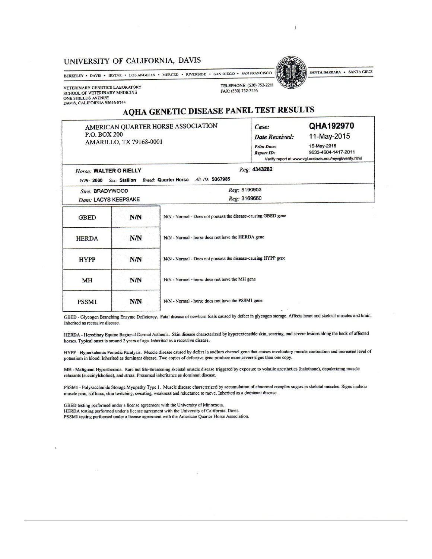## UNIVERSITY OF CALIFORNIA, DAVIS

BERKELEY • DAVIS • IRVINE • LOS ANGELES • MERCED • RIVERSIDE • SAN DIEGO • SAN FRANCISCO

VETERINARY GENETICS LABORATORY SCHOOL OF VETERINARY MEDICINE ONE SHIELDS AVENUE DAVIS, CALIFORNIA 95616-8744

Horse: WALTER O RIELLY

TELEPHONE: (530) 752-2211



FAX: (530) 752-3556

## AQHA GENETIC DISEASE PANEL TEST RESULTS

AMERICAN QUARTER HORSE ASSOCIATION P.O. BOX 200 AMARILLO, TX 79168-0001

| <b>ILDI NEUVELO</b>   |                     |  |  |  |
|-----------------------|---------------------|--|--|--|
| Case:                 | QHA192970           |  |  |  |
| <b>Date Received:</b> | 11-May-2015         |  |  |  |
| <b>Print Date:</b>    | 15-May-2015         |  |  |  |
| <b>Report ID:</b>     | 9633-4604-1417-2011 |  |  |  |

Verify report at www.vgl.ucdavis.edu/myvgl/verify.html

## Reg: 4343282

| Reg: 3190953<br>Sire: BRADYWOOD |            |                                                               |  |
|---------------------------------|------------|---------------------------------------------------------------|--|
| Dam: LACYS KEEPSAKE             |            | Reg: 3169660                                                  |  |
| <b>GBED</b>                     | N/N        | N/N - Normal - Does not possess the disease-causing GBED gene |  |
| <b>HERDA</b>                    | <b>N/N</b> | N/N - Normal - horse does not have the HERDA gene             |  |
| <b>HYPP</b>                     | N/N        | N/N - Normal - Does not possess the disease-causing HYPP gene |  |
| <b>MH</b>                       | N/N        | N/N - Normal - horse does not have the MH gene                |  |
| <b>PSSM1</b>                    | N/N        | N/N - Normal - horse does not have the PSSM1 gene             |  |

GBED - Glycogen Branching Enzyme Deficiency. Fatal disease of newborn foals caused by defect in glycogen storage. Affects heart and skeletal muscles and brain. Inherited as recessive disease.

HERDA - Hereditary Equine Regional Dermal Asthenia. Skin disease characterized by hyperextensible skin, scarring, and severe lesions along the back of affected horses. Typical onset is around 2 years of age. Inherited as a recessive disease.

HYPP - Hyperkalemic Periodic Paralysis. Muscle disease caused by defect in sodium channel gene that causes involuntary muscle contraction and increased level of potassium in blood. Inherited as dominant disease. Two copies of defective gene produce more severe signs than one copy.

MH - Malignant Hyperthermia. Rare but life-threatening skeletal muscle disease triggered by exposure to volatile anesthetics (halothane), depolarizing muscle relaxants (succinylcholine), and stress. Presumed inheritance as dominant disease.

PSSM1 - Polysaccharide Storage Myopathy Type 1. Muscle disease characterized by accumulation of abnormal complex sugars in skeletal muscles. Signs include muscle pain, stiffness, skin twitching, sweating, weakness and reluctance to move. Inherited as a dominant disease.

GBED testing performed under a license agreement with the University of Minnesota. HERDA testing performed under a license agreement with the University of California, Davis. PSSM1 testing performed under a license agreement with the American Quarter Horse Association.